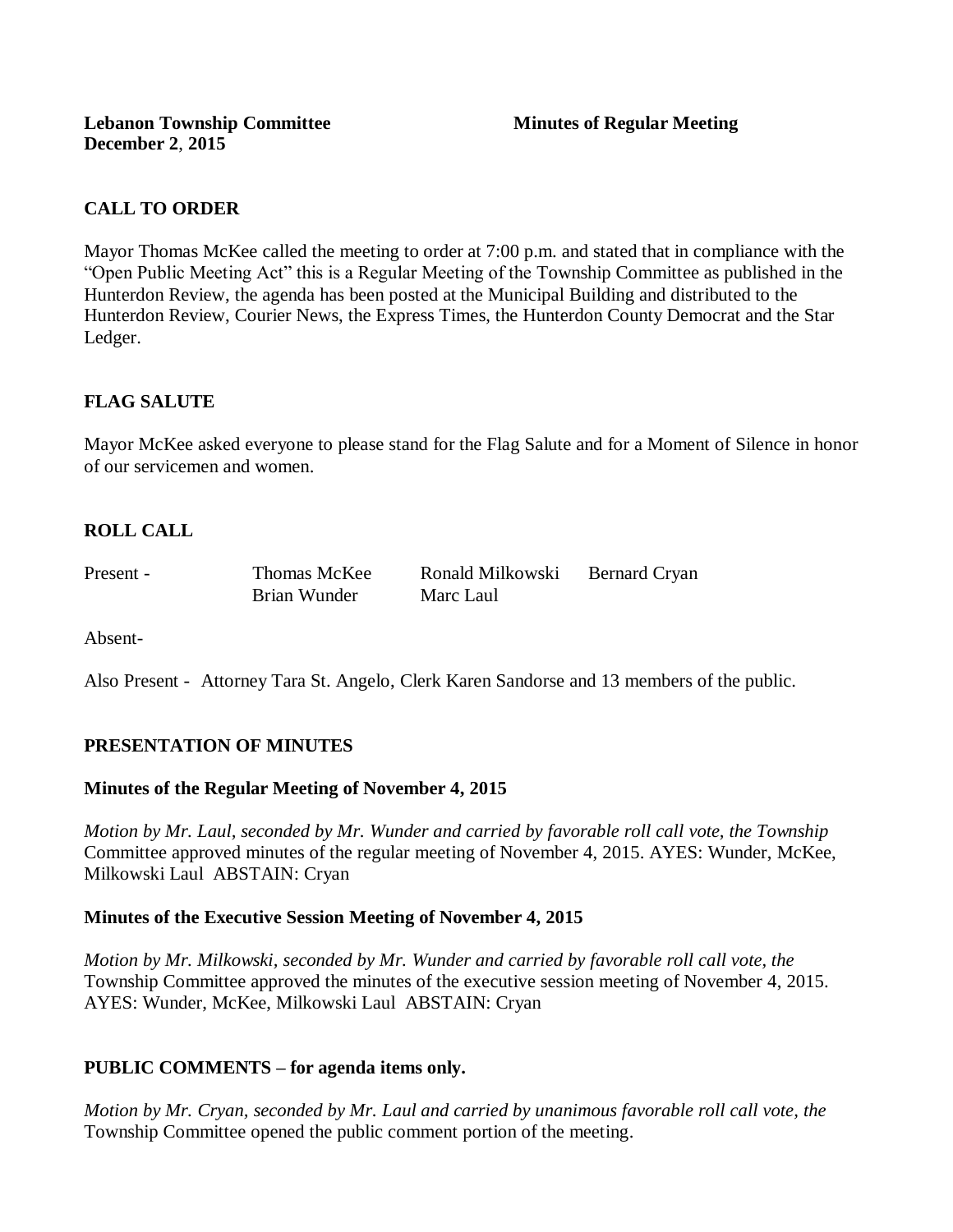# **CALL TO ORDER**

Mayor Thomas McKee called the meeting to order at 7:00 p.m. and stated that in compliance with the "Open Public Meeting Act" this is a Regular Meeting of the Township Committee as published in the Hunterdon Review, the agenda has been posted at the Municipal Building and distributed to the Hunterdon Review, Courier News, the Express Times, the Hunterdon County Democrat and the Star Ledger.

# **FLAG SALUTE**

Mayor McKee asked everyone to please stand for the Flag Salute and for a Moment of Silence in honor of our servicemen and women.

# **ROLL CALL**

| Present - | Thomas McKee | Ronald Milkowski | Bernard Cryan |
|-----------|--------------|------------------|---------------|
|           | Brian Wunder | Marc Laul        |               |

Absent-

Also Present - Attorney Tara St. Angelo, Clerk Karen Sandorse and 13 members of the public.

# **PRESENTATION OF MINUTES**

### **Minutes of the Regular Meeting of November 4, 2015**

*Motion by Mr. Laul, seconded by Mr. Wunder and carried by favorable roll call vote, the Township*  Committee approved minutes of the regular meeting of November 4, 2015. AYES: Wunder, McKee, Milkowski Laul ABSTAIN: Cryan

### **Minutes of the Executive Session Meeting of November 4, 2015**

*Motion by Mr. Milkowski, seconded by Mr. Wunder and carried by favorable roll call vote, the*  Township Committee approved the minutes of the executive session meeting of November 4, 2015. AYES: Wunder, McKee, Milkowski Laul ABSTAIN: Cryan

### **PUBLIC COMMENTS – for agenda items only.**

*Motion by Mr. Cryan, seconded by Mr. Laul and carried by unanimous favorable roll call vote, the* Township Committee opened the public comment portion of the meeting.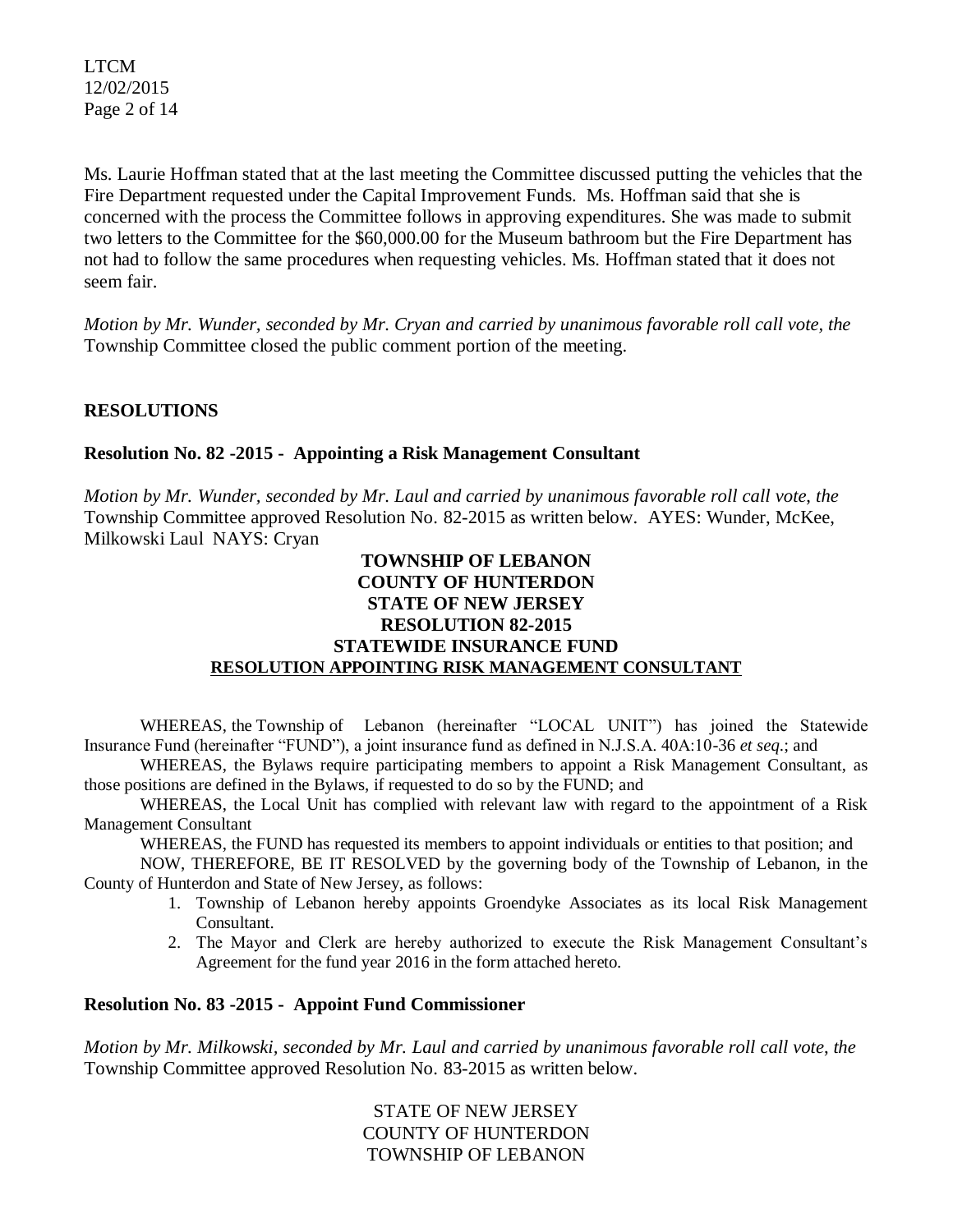LTCM 12/02/2015 Page 2 of 14

Ms. Laurie Hoffman stated that at the last meeting the Committee discussed putting the vehicles that the Fire Department requested under the Capital Improvement Funds. Ms. Hoffman said that she is concerned with the process the Committee follows in approving expenditures. She was made to submit two letters to the Committee for the \$60,000.00 for the Museum bathroom but the Fire Department has not had to follow the same procedures when requesting vehicles. Ms. Hoffman stated that it does not seem fair.

*Motion by Mr. Wunder, seconded by Mr. Cryan and carried by unanimous favorable roll call vote, the* Township Committee closed the public comment portion of the meeting.

# **RESOLUTIONS**

### **Resolution No. 82 -2015 - Appointing a Risk Management Consultant**

*Motion by Mr. Wunder, seconded by Mr. Laul and carried by unanimous favorable roll call vote*, *the* Township Committee approved Resolution No. 82-2015 as written below. AYES: Wunder, McKee, Milkowski Laul NAYS: Cryan

# **TOWNSHIP OF LEBANON COUNTY OF HUNTERDON STATE OF NEW JERSEY RESOLUTION 82-2015 STATEWIDE INSURANCE FUND RESOLUTION APPOINTING RISK MANAGEMENT CONSULTANT**

WHEREAS, the Township of Lebanon (hereinafter "LOCAL UNIT") has joined the Statewide Insurance Fund (hereinafter "FUND"), a joint insurance fund as defined in N.J.S.A. 40A:10-36 *et seq*.; and

WHEREAS, the Bylaws require participating members to appoint a Risk Management Consultant, as those positions are defined in the Bylaws, if requested to do so by the FUND; and

WHEREAS, the Local Unit has complied with relevant law with regard to the appointment of a Risk Management Consultant

WHEREAS, the FUND has requested its members to appoint individuals or entities to that position; and

NOW, THEREFORE, BE IT RESOLVED by the governing body of the Township of Lebanon, in the County of Hunterdon and State of New Jersey, as follows:

- 1. Township of Lebanon hereby appoints Groendyke Associates as its local Risk Management Consultant.
- 2. The Mayor and Clerk are hereby authorized to execute the Risk Management Consultant's Agreement for the fund year 2016 in the form attached hereto.

### **Resolution No. 83 -2015 - Appoint Fund Commissioner**

*Motion by Mr. Milkowski, seconded by Mr. Laul and carried by unanimous favorable roll call vote*, *the* Township Committee approved Resolution No. 83-2015 as written below.

> STATE OF NEW JERSEY COUNTY OF HUNTERDON TOWNSHIP OF LEBANON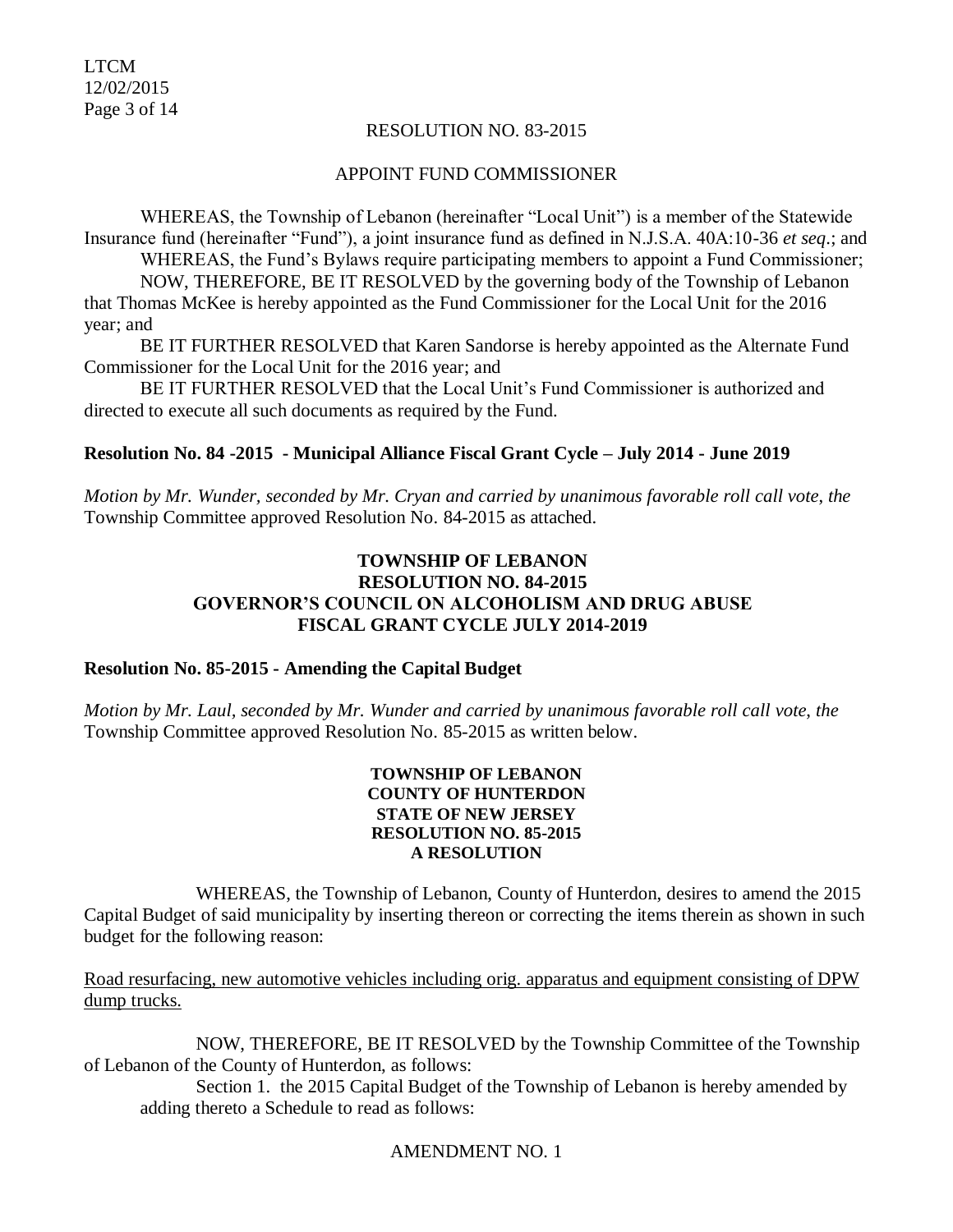LTCM 12/02/2015 Page 3 of 14

### RESOLUTION NO. 83-2015

#### APPOINT FUND COMMISSIONER

WHEREAS, the Township of Lebanon (hereinafter "Local Unit") is a member of the Statewide Insurance fund (hereinafter "Fund"), a joint insurance fund as defined in N.J.S.A. 40A:10-36 *et seq*.; and WHEREAS, the Fund's Bylaws require participating members to appoint a Fund Commissioner; NOW, THEREFORE, BE IT RESOLVED by the governing body of the Township of Lebanon that Thomas McKee is hereby appointed as the Fund Commissioner for the Local Unit for the 2016 year; and

BE IT FURTHER RESOLVED that Karen Sandorse is hereby appointed as the Alternate Fund Commissioner for the Local Unit for the 2016 year; and

BE IT FURTHER RESOLVED that the Local Unit's Fund Commissioner is authorized and directed to execute all such documents as required by the Fund.

#### **Resolution No. 84 -2015 - Municipal Alliance Fiscal Grant Cycle – July 2014 - June 2019**

*Motion by Mr. Wunder, seconded by Mr. Cryan and carried by unanimous favorable roll call vote*, *the* Township Committee approved Resolution No. 84-2015 as attached.

# **TOWNSHIP OF LEBANON RESOLUTION NO. 84-2015 GOVERNOR'S COUNCIL ON ALCOHOLISM AND DRUG ABUSE FISCAL GRANT CYCLE JULY 2014-2019**

#### **Resolution No. 85-2015 - Amending the Capital Budget**

*Motion by Mr. Laul, seconded by Mr. Wunder and carried by unanimous favorable roll call vote*, *the* Township Committee approved Resolution No. 85-2015 as written below.

#### **TOWNSHIP OF LEBANON COUNTY OF HUNTERDON STATE OF NEW JERSEY RESOLUTION NO. 85-2015 A RESOLUTION**

WHEREAS, the Township of Lebanon, County of Hunterdon, desires to amend the 2015 Capital Budget of said municipality by inserting thereon or correcting the items therein as shown in such budget for the following reason:

Road resurfacing, new automotive vehicles including orig. apparatus and equipment consisting of DPW dump trucks.

NOW, THEREFORE, BE IT RESOLVED by the Township Committee of the Township of Lebanon of the County of Hunterdon, as follows:

Section 1. the 2015 Capital Budget of the Township of Lebanon is hereby amended by adding thereto a Schedule to read as follows:

### AMENDMENT NO. 1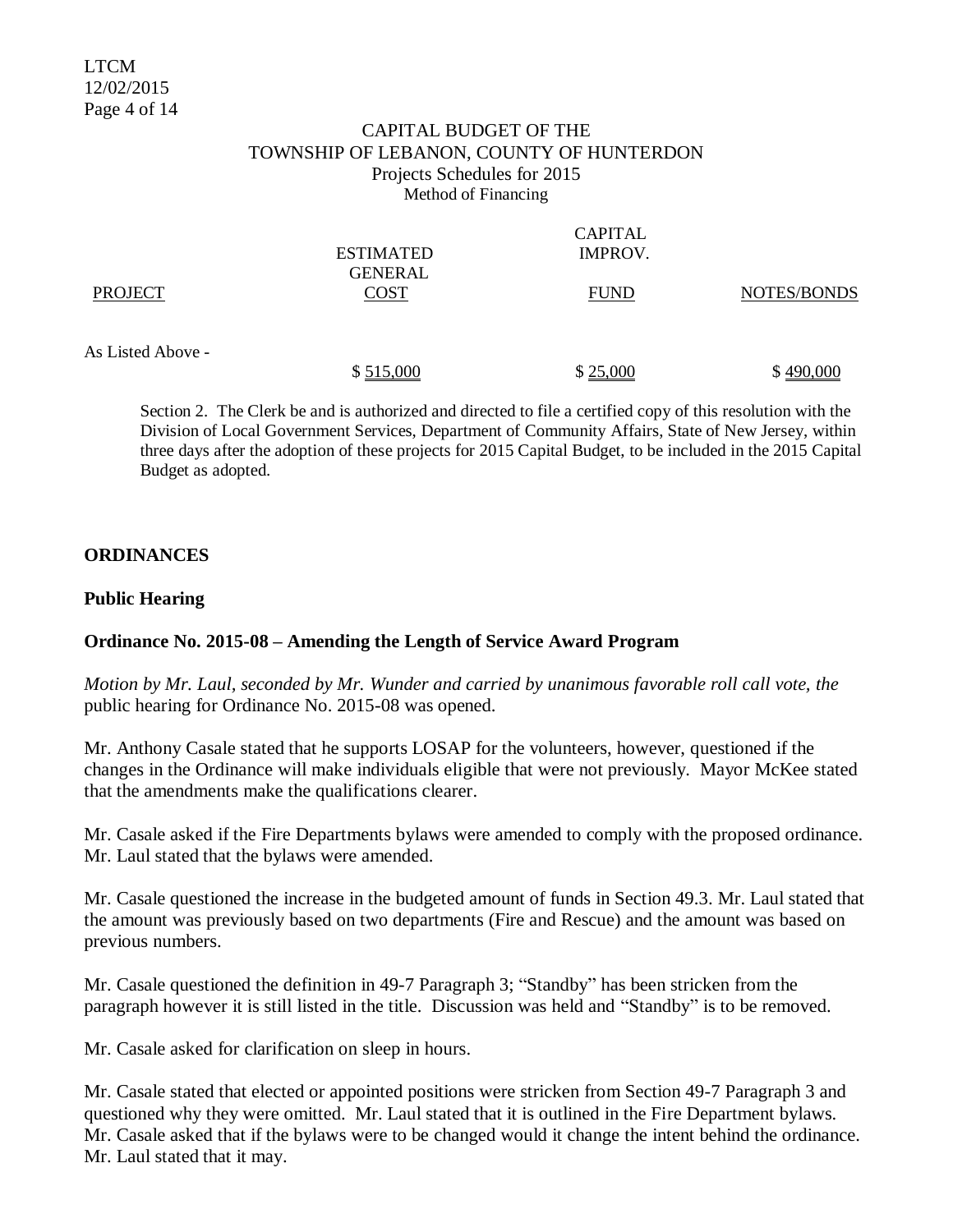### CAPITAL BUDGET OF THE TOWNSHIP OF LEBANON, COUNTY OF HUNTERDON Projects Schedules for 2015 Method of Financing

|                   |                  | <b>CAPITAL</b> |             |
|-------------------|------------------|----------------|-------------|
|                   | <b>ESTIMATED</b> | IMPROV.        |             |
|                   | <b>GENERAL</b>   |                |             |
| <b>PROJECT</b>    | <b>COST</b>      | <b>FUND</b>    | NOTES/BONDS |
|                   |                  |                |             |
|                   |                  |                |             |
| As Listed Above - |                  |                |             |
|                   | \$515,000        | \$25,000       | \$490,000   |

Section 2. The Clerk be and is authorized and directed to file a certified copy of this resolution with the Division of Local Government Services, Department of Community Affairs, State of New Jersey, within three days after the adoption of these projects for 2015 Capital Budget, to be included in the 2015 Capital Budget as adopted.

# **ORDINANCES**

### **Public Hearing**

### **Ordinance No. 2015-08 – Amending the Length of Service Award Program**

*Motion by Mr. Laul, seconded by Mr. Wunder and carried by unanimous favorable roll call vote, the* public hearing for Ordinance No. 2015-08 was opened.

Mr. Anthony Casale stated that he supports LOSAP for the volunteers, however, questioned if the changes in the Ordinance will make individuals eligible that were not previously. Mayor McKee stated that the amendments make the qualifications clearer.

Mr. Casale asked if the Fire Departments bylaws were amended to comply with the proposed ordinance. Mr. Laul stated that the bylaws were amended.

Mr. Casale questioned the increase in the budgeted amount of funds in Section 49.3. Mr. Laul stated that the amount was previously based on two departments (Fire and Rescue) and the amount was based on previous numbers.

Mr. Casale questioned the definition in 49-7 Paragraph 3; "Standby" has been stricken from the paragraph however it is still listed in the title. Discussion was held and "Standby" is to be removed.

Mr. Casale asked for clarification on sleep in hours.

Mr. Casale stated that elected or appointed positions were stricken from Section 49-7 Paragraph 3 and questioned why they were omitted. Mr. Laul stated that it is outlined in the Fire Department bylaws. Mr. Casale asked that if the bylaws were to be changed would it change the intent behind the ordinance. Mr. Laul stated that it may.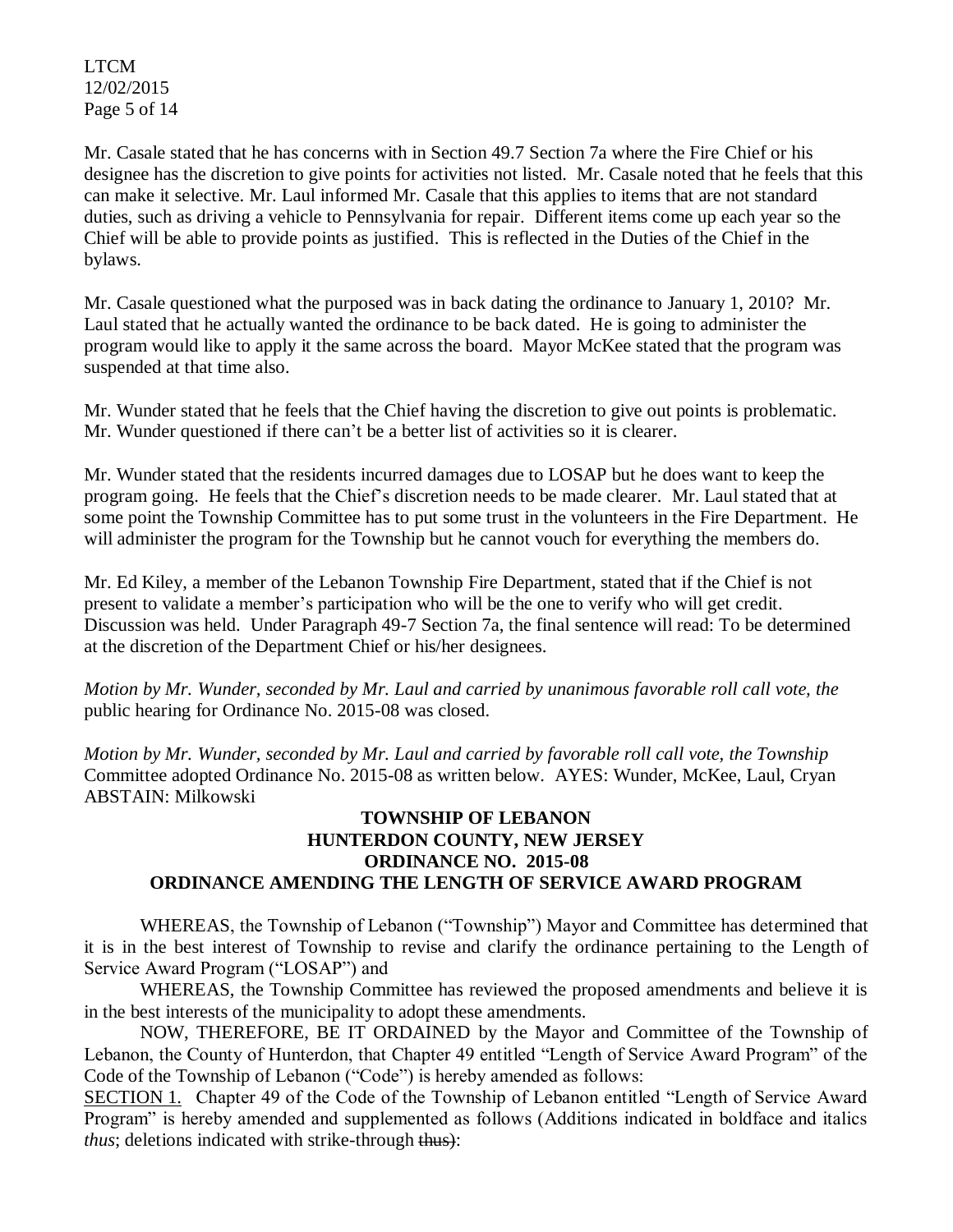LTCM 12/02/2015 Page 5 of 14

Mr. Casale stated that he has concerns with in Section 49.7 Section 7a where the Fire Chief or his designee has the discretion to give points for activities not listed. Mr. Casale noted that he feels that this can make it selective. Mr. Laul informed Mr. Casale that this applies to items that are not standard duties, such as driving a vehicle to Pennsylvania for repair. Different items come up each year so the Chief will be able to provide points as justified. This is reflected in the Duties of the Chief in the bylaws.

Mr. Casale questioned what the purposed was in back dating the ordinance to January 1, 2010? Mr. Laul stated that he actually wanted the ordinance to be back dated. He is going to administer the program would like to apply it the same across the board. Mayor McKee stated that the program was suspended at that time also.

Mr. Wunder stated that he feels that the Chief having the discretion to give out points is problematic. Mr. Wunder questioned if there can't be a better list of activities so it is clearer.

Mr. Wunder stated that the residents incurred damages due to LOSAP but he does want to keep the program going. He feels that the Chief's discretion needs to be made clearer. Mr. Laul stated that at some point the Township Committee has to put some trust in the volunteers in the Fire Department. He will administer the program for the Township but he cannot vouch for everything the members do.

Mr. Ed Kiley, a member of the Lebanon Township Fire Department, stated that if the Chief is not present to validate a member's participation who will be the one to verify who will get credit. Discussion was held. Under Paragraph 49-7 Section 7a, the final sentence will read: To be determined at the discretion of the Department Chief or his/her designees.

*Motion by Mr. Wunder, seconded by Mr. Laul and carried by unanimous favorable roll call vote, the* public hearing for Ordinance No. 2015-08 was closed.

*Motion by Mr. Wunder, seconded by Mr. Laul and carried by favorable roll call vote, the Township* Committee adopted Ordinance No. 2015-08 as written below. AYES: Wunder, McKee, Laul, Cryan ABSTAIN: Milkowski

### **TOWNSHIP OF LEBANON HUNTERDON COUNTY, NEW JERSEY ORDINANCE NO. 2015-08 ORDINANCE AMENDING THE LENGTH OF SERVICE AWARD PROGRAM**

WHEREAS, the Township of Lebanon ("Township") Mayor and Committee has determined that it is in the best interest of Township to revise and clarify the ordinance pertaining to the Length of Service Award Program ("LOSAP") and

WHEREAS, the Township Committee has reviewed the proposed amendments and believe it is in the best interests of the municipality to adopt these amendments.

NOW, THEREFORE, BE IT ORDAINED by the Mayor and Committee of the Township of Lebanon, the County of Hunterdon, that Chapter 49 entitled "Length of Service Award Program" of the Code of the Township of Lebanon ("Code") is hereby amended as follows:

SECTION 1. Chapter 49 of the Code of the Township of Lebanon entitled "Length of Service Award Program" is hereby amended and supplemented as follows (Additions indicated in boldface and italics *thus*; deletions indicated with strike-through thus):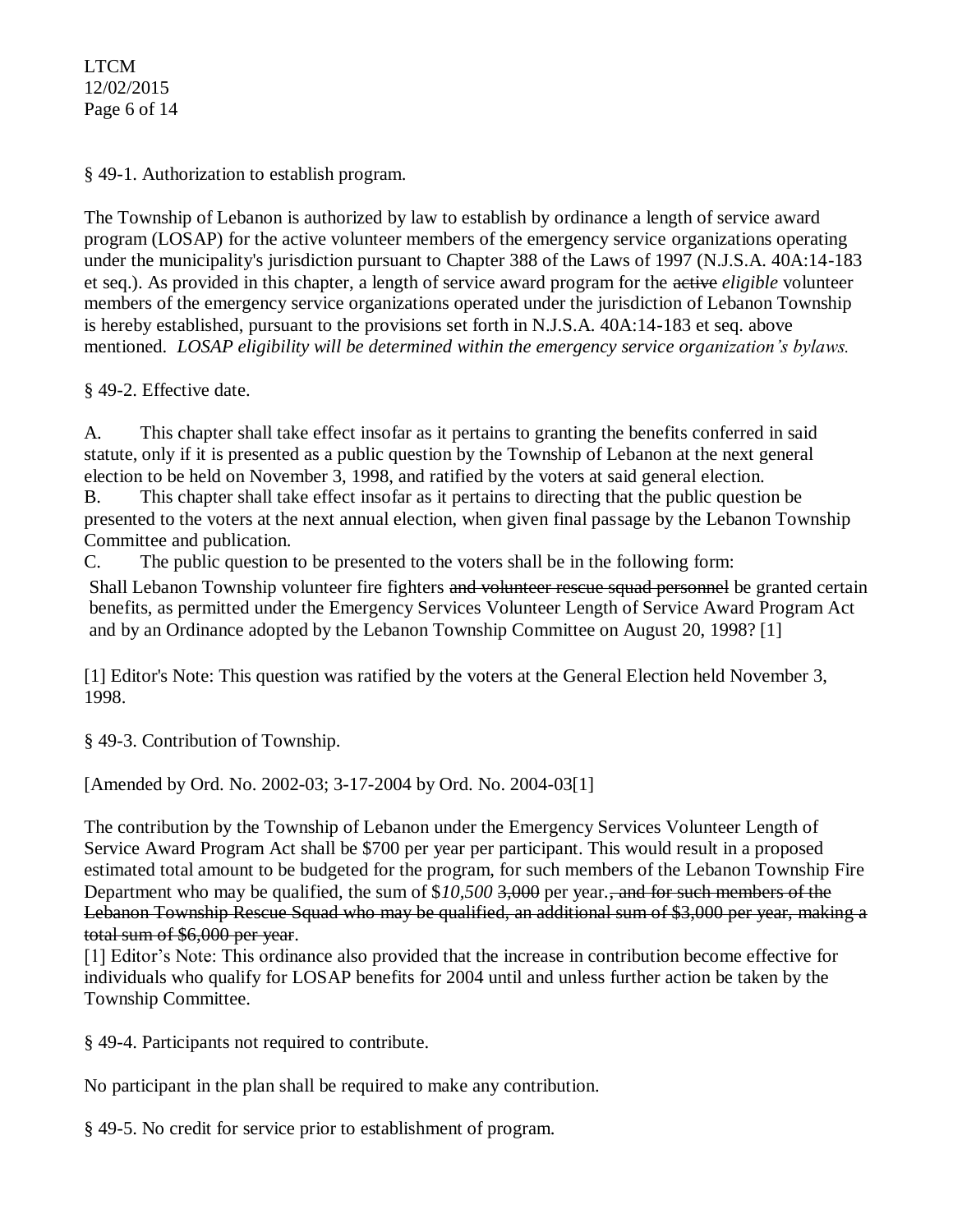LTCM 12/02/2015 Page 6 of 14

§ 49-1. Authorization to establish program.

The Township of Lebanon is authorized by law to establish by ordinance a length of service award program (LOSAP) for the active volunteer members of the emergency service organizations operating under the municipality's jurisdiction pursuant to Chapter 388 of the Laws of 1997 (N.J.S.A. 40A:14-183 et seq.). As provided in this chapter, a length of service award program for the active *eligible* volunteer members of the emergency service organizations operated under the jurisdiction of Lebanon Township is hereby established, pursuant to the provisions set forth in N.J.S.A. 40A:14-183 et seq. above mentioned. *LOSAP eligibility will be determined within the emergency service organization's bylaws.*

§ 49-2. Effective date.

A. This chapter shall take effect insofar as it pertains to granting the benefits conferred in said statute, only if it is presented as a public question by the Township of Lebanon at the next general election to be held on November 3, 1998, and ratified by the voters at said general election.

B. This chapter shall take effect insofar as it pertains to directing that the public question be presented to the voters at the next annual election, when given final passage by the Lebanon Township Committee and publication.

C. The public question to be presented to the voters shall be in the following form:

Shall Lebanon Township volunteer fire fighters and volunteer rescue squad personnel be granted certain benefits, as permitted under the Emergency Services Volunteer Length of Service Award Program Act and by an Ordinance adopted by the Lebanon Township Committee on August 20, 1998? [1]

[\[1\]](http://ecode360.com/print/LE2241?guid=6916351&children=true#ref6916356-1) Editor's Note: This question was ratified by the voters at the General Election held November 3, 1998.

§ 49-3. Contribution of Township.

[Amended by Ord. No. 2002-03; 3-17-2004 by Ord. No. 2004-03[1]

The contribution by the Township of Lebanon under the Emergency Services Volunteer Length of Service Award Program Act shall be \$700 per year per participant. This would result in a proposed estimated total amount to be budgeted for the program, for such members of the Lebanon Township Fire Department who may be qualified, the sum of \$*10,500* 3,000 per year*.*, and for such members of the Lebanon Township Rescue Squad who may be qualified, an additional sum of \$3,000 per year, making a total sum of \$6,000 per year.

[1] Editor's Note: This ordinance also provided that the increase in contribution become effective for individuals who qualify for LOSAP benefits for 2004 until and unless further action be taken by the Township Committee.

§ 49-4. Participants not required to contribute.

No participant in the plan shall be required to make any contribution.

§ [49-5. No credit for service prior to establishment of program.](http://ecode360.com/print/LE2241?guid=6916351&children=true#6916359)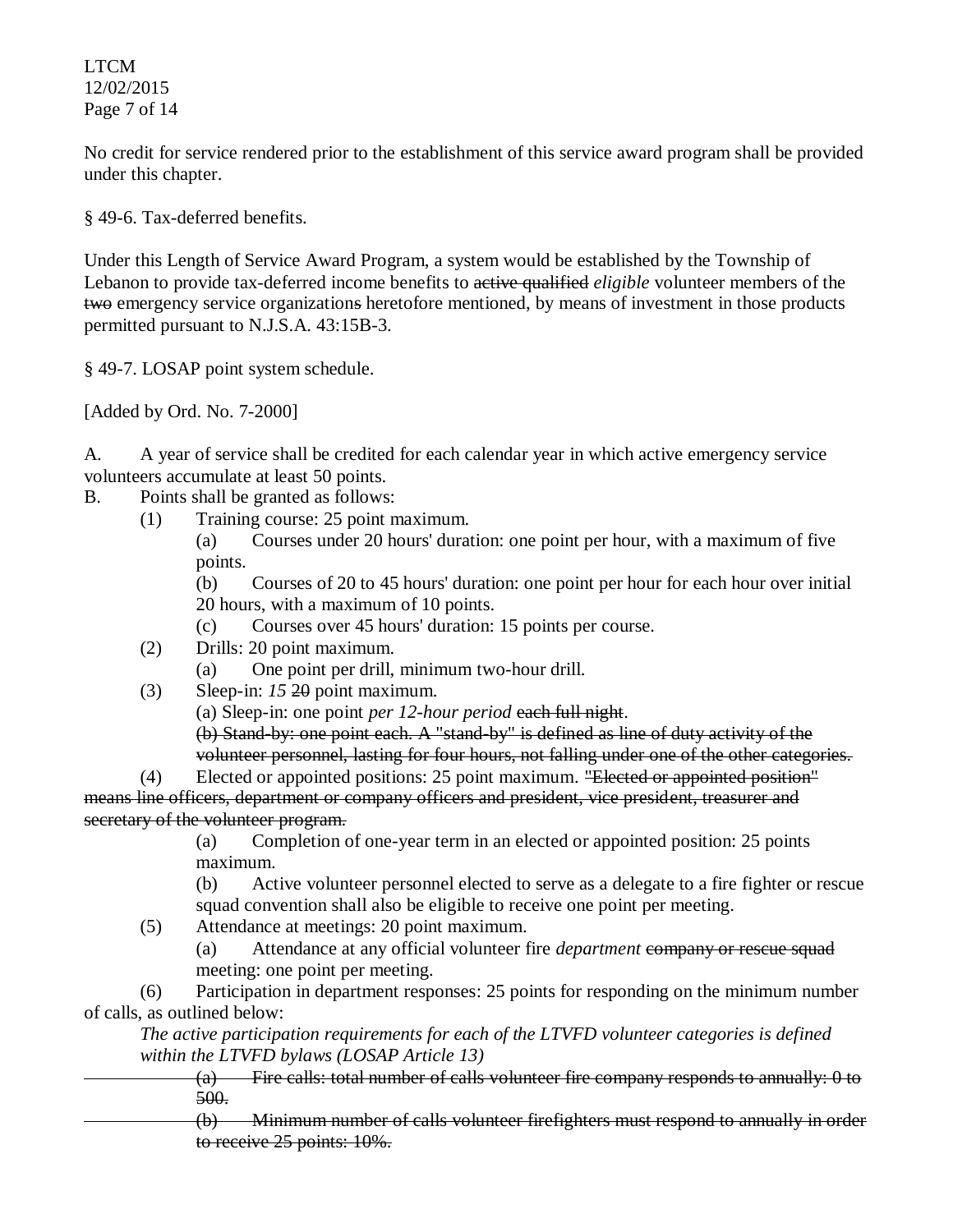LTCM 12/02/2015 Page 7 of 14

No credit for service rendered prior to the establishment of this service award program shall be provided under this chapter.

§ 49-6. Tax-deferred benefits.

Under this Length of Service Award Program, a system would be established by the Township of Lebanon to provide tax-deferred income benefits to active qualified *eligible* volunteer members of the two emergency service organizations heretofore mentioned, by means of investment in those products permitted pursuant to N.J.S.A. 43:15B-3.

§ 49-7. LOSAP point system schedule.

[Added by Ord. No. 7-2000]

A. A year of service shall be credited for each calendar year in which active emergency service volunteers accumulate at least 50 points.

- B. Points shall be granted as follows:
	- (1) Training course: 25 point maximum.

(a) Courses under 20 hours' duration: one point per hour, with a maximum of five points.

(b) Courses of 20 to 45 hours' duration: one point per hour for each hour over initial 20 hours, with a maximum of 10 points.

(c) Courses over 45 hours' duration: 15 points per course.

- (2) Drills: 20 point maximum.
	- (a) One point per drill, minimum two-hour drill.
- (3) Sleep-in: *15* 20 point maximum.
	- (a) Sleep-in: one point *per 12-hour period* each full night.

(b) Stand-by: one point each. A "stand-by" is defined as line of duty activity of the volunteer personnel, lasting for four hours, not falling under one of the other categories.

(4) Elected or appointed positions: 25 point maximum. "Elected or appointed position" means line officers, department or company officers and president, vice president, treasurer and secretary of the volunteer program.

(a) Completion of one-year term in an elected or appointed position: 25 points maximum.

(b) Active volunteer personnel elected to serve as a delegate to a fire fighter or rescue squad convention shall also be eligible to receive one point per meeting.

(5) Attendance at meetings: 20 point maximum.

(a) Attendance at any official volunteer fire *department* company or rescue squad meeting: one point per meeting.

(6) Participation in department responses: 25 points for responding on the minimum number of calls, as outlined below:

*The active participation requirements for each of the LTVFD volunteer categories is defined within the LTVFD bylaws (LOSAP Article 13)* 

(a) Fire calls: total number of calls volunteer fire company responds to annually: 0 to 500.

(b) Minimum number of calls volunteer firefighters must respond to annually in order to receive 25 points:  $10\%$ .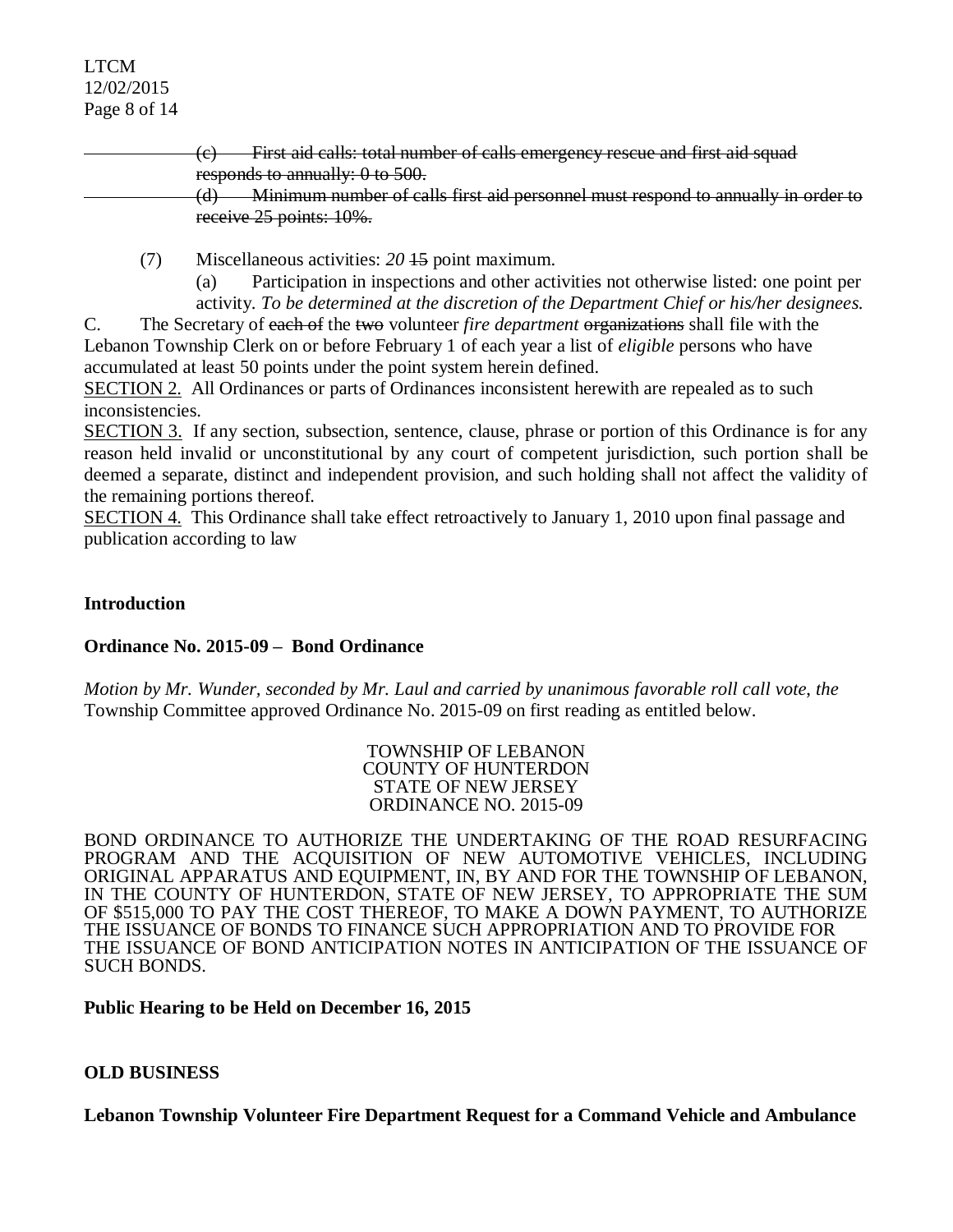### LTCM 12/02/2015 Page 8 of 14

(c) First aid calls: total number of calls emergency rescue and first aid squad responds to annually: 0 to 500. (d) Minimum number of calls first aid personnel must respond to annually in order to receive 25 points: 10%.

[\(7\)](http://ecode360.com/print/6916383#6916383) Miscellaneous activities: *20* 15 point maximum.

(a) Participation in inspections and other activities not otherwise listed: one point per activity. *To be determined at the discretion of the Department Chief or his/her designees.*

C. The Secretary of each of the two volunteer *fire department* organizations shall file with the Lebanon Township Clerk on or before February 1 of each year a list of *eligible* persons who have accumulated at least 50 points under the point system herein defined.

SECTION 2. All Ordinances or parts of Ordinances inconsistent herewith are repealed as to such inconsistencies.

SECTION 3. If any section, subsection, sentence, clause, phrase or portion of this Ordinance is for any reason held invalid or unconstitutional by any court of competent jurisdiction, such portion shall be deemed a separate, distinct and independent provision, and such holding shall not affect the validity of the remaining portions thereof.

SECTION 4. This Ordinance shall take effect retroactively to January 1, 2010 upon final passage and publication according to law

# **Introduction**

# **Ordinance No. 2015-09 – Bond Ordinance**

*Motion by Mr. Wunder, seconded by Mr. Laul and carried by unanimous favorable roll call vote*, *the* Township Committee approved Ordinance No. 2015-09 on first reading as entitled below.

> TOWNSHIP OF LEBANON COUNTY OF HUNTERDON STATE OF NEW JERSEY ORDINANCE NO. 2015-09

BOND ORDINANCE TO AUTHORIZE THE UNDERTAKING OF THE ROAD RESURFACING PROGRAM AND THE ACQUISITION OF NEW AUTOMOTIVE VEHICLES, INCLUDING ORIGINAL APPARATUS AND EQUIPMENT, IN, BY AND FOR THE TOWNSHIP OF LEBANON, IN THE COUNTY OF HUNTERDON, STATE OF NEW JERSEY, TO APPROPRIATE THE SUM OF \$515,000 TO PAY THE COST THEREOF, TO MAKE A DOWN PAYMENT, TO AUTHORIZE THE ISSUANCE OF BONDS TO FINANCE SUCH APPROPRIATION AND TO PROVIDE FOR THE ISSUANCE OF BOND ANTICIPATION NOTES IN ANTICIPATION OF THE ISSUANCE OF SUCH BONDS.

### **Public Hearing to be Held on December 16, 2015**

# **OLD BUSINESS**

**Lebanon Township Volunteer Fire Department Request for a Command Vehicle and Ambulance**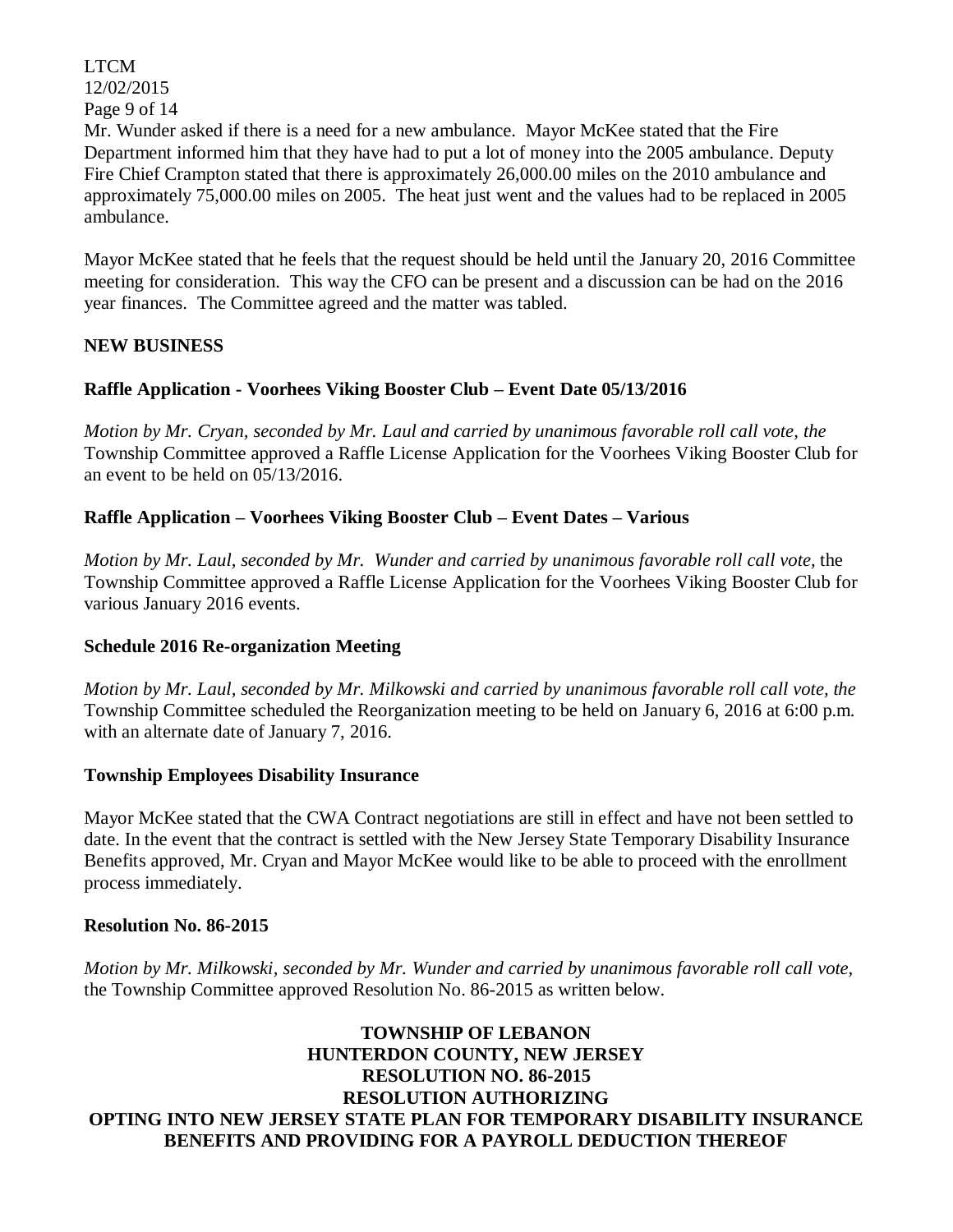LTCM 12/02/2015 Page 9 of 14 Mr. Wunder asked if there is a need for a new ambulance. Mayor McKee stated that the Fire Department informed him that they have had to put a lot of money into the 2005 ambulance. Deputy Fire Chief Crampton stated that there is approximately 26,000.00 miles on the 2010 ambulance and approximately 75,000.00 miles on 2005. The heat just went and the values had to be replaced in 2005 ambulance.

Mayor McKee stated that he feels that the request should be held until the January 20, 2016 Committee meeting for consideration. This way the CFO can be present and a discussion can be had on the 2016 year finances. The Committee agreed and the matter was tabled.

# **NEW BUSINESS**

# **Raffle Application - Voorhees Viking Booster Club – Event Date 05/13/2016**

*Motion by Mr. Cryan, seconded by Mr. Laul and carried by unanimous favorable roll call vote, the* Township Committee approved a Raffle License Application for the Voorhees Viking Booster Club for an event to be held on 05/13/2016.

### **Raffle Application – Voorhees Viking Booster Club – Event Dates – Various**

*Motion by Mr. Laul, seconded by Mr. Wunder and carried by unanimous favorable roll call vote, the* Township Committee approved a Raffle License Application for the Voorhees Viking Booster Club for various January 2016 events.

### **Schedule 2016 Re-organization Meeting**

*Motion by Mr. Laul, seconded by Mr. Milkowski and carried by unanimous favorable roll call vote, the* Township Committee scheduled the Reorganization meeting to be held on January 6, 2016 at 6:00 p.m. with an alternate date of January 7, 2016.

### **Township Employees Disability Insurance**

Mayor McKee stated that the CWA Contract negotiations are still in effect and have not been settled to date. In the event that the contract is settled with the New Jersey State Temporary Disability Insurance Benefits approved, Mr. Cryan and Mayor McKee would like to be able to proceed with the enrollment process immediately.

### **Resolution No. 86-2015**

*Motion by Mr. Milkowski, seconded by Mr. Wunder and carried by unanimous favorable roll call vote,*  the Township Committee approved Resolution No. 86-2015 as written below.

**TOWNSHIP OF LEBANON HUNTERDON COUNTY, NEW JERSEY RESOLUTION NO. 86-2015 RESOLUTION AUTHORIZING OPTING INTO NEW JERSEY STATE PLAN FOR TEMPORARY DISABILITY INSURANCE BENEFITS AND PROVIDING FOR A PAYROLL DEDUCTION THEREOF**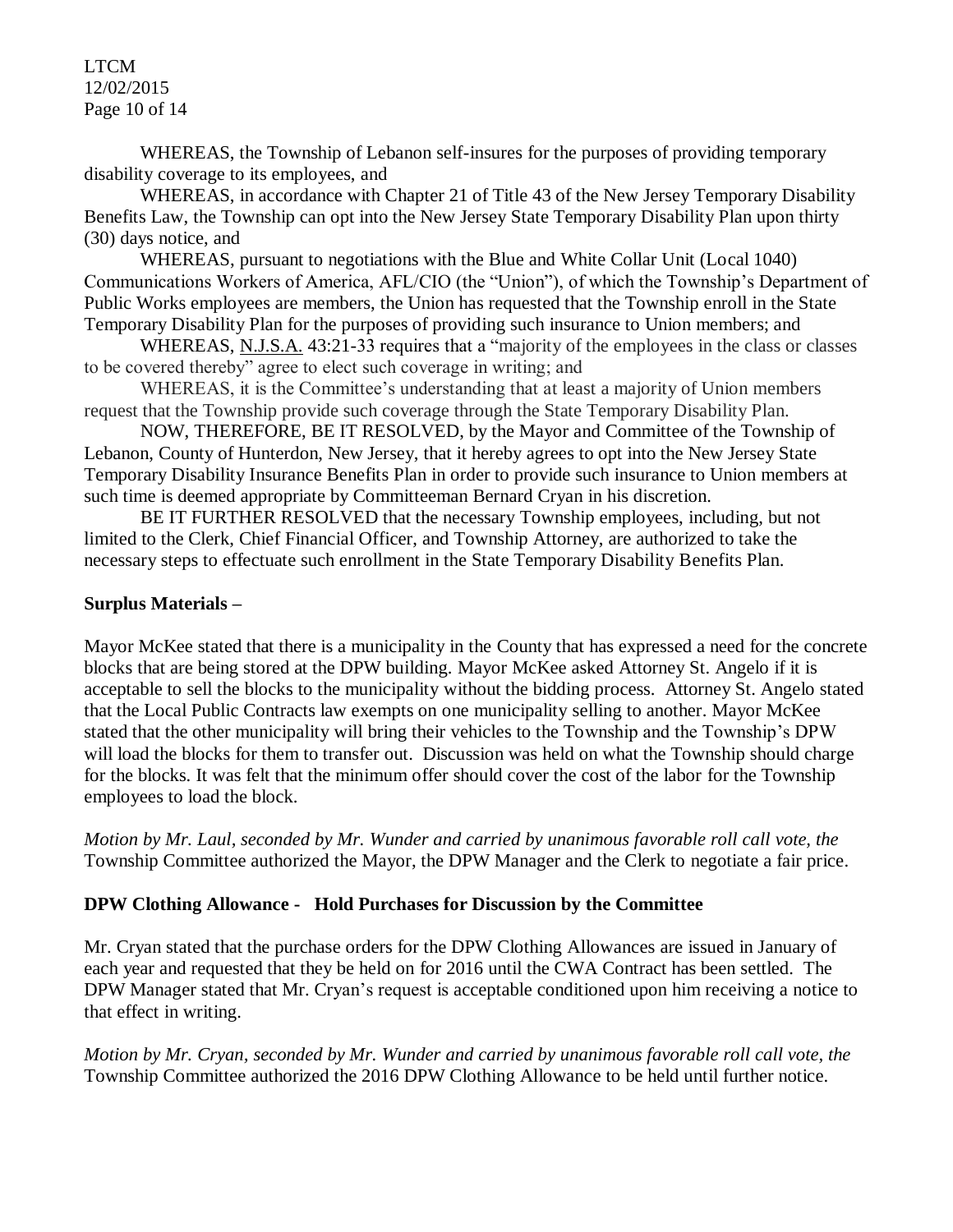LTCM 12/02/2015 Page 10 of 14

WHEREAS, the Township of Lebanon self-insures for the purposes of providing temporary disability coverage to its employees, and

WHEREAS, in accordance with Chapter 21 of Title 43 of the New Jersey Temporary Disability Benefits Law, the Township can opt into the New Jersey State Temporary Disability Plan upon thirty (30) days notice, and

WHEREAS, pursuant to negotiations with the Blue and White Collar Unit (Local 1040) Communications Workers of America, AFL/CIO (the "Union"), of which the Township's Department of Public Works employees are members, the Union has requested that the Township enroll in the State Temporary Disability Plan for the purposes of providing such insurance to Union members; and

WHEREAS, N.J.S.A. 43:21-33 requires that a "majority of the employees in the class or classes to be covered thereby" agree to elect such coverage in writing; and

WHEREAS, it is the Committee's understanding that at least a majority of Union members request that the Township provide such coverage through the State Temporary Disability Plan.

 NOW, THEREFORE, BE IT RESOLVED, by the Mayor and Committee of the Township of Lebanon, County of Hunterdon, New Jersey, that it hereby agrees to opt into the New Jersey State Temporary Disability Insurance Benefits Plan in order to provide such insurance to Union members at such time is deemed appropriate by Committeeman Bernard Cryan in his discretion.

 BE IT FURTHER RESOLVED that the necessary Township employees, including, but not limited to the Clerk, Chief Financial Officer, and Township Attorney, are authorized to take the necessary steps to effectuate such enrollment in the State Temporary Disability Benefits Plan.

# **Surplus Materials –**

Mayor McKee stated that there is a municipality in the County that has expressed a need for the concrete blocks that are being stored at the DPW building. Mayor McKee asked Attorney St. Angelo if it is acceptable to sell the blocks to the municipality without the bidding process. Attorney St. Angelo stated that the Local Public Contracts law exempts on one municipality selling to another. Mayor McKee stated that the other municipality will bring their vehicles to the Township and the Township's DPW will load the blocks for them to transfer out. Discussion was held on what the Township should charge for the blocks. It was felt that the minimum offer should cover the cost of the labor for the Township employees to load the block.

*Motion by Mr. Laul, seconded by Mr. Wunder and carried by unanimous favorable roll call vote, the* Township Committee authorized the Mayor, the DPW Manager and the Clerk to negotiate a fair price.

### **DPW Clothing Allowance - Hold Purchases for Discussion by the Committee**

Mr. Cryan stated that the purchase orders for the DPW Clothing Allowances are issued in January of each year and requested that they be held on for 2016 until the CWA Contract has been settled. The DPW Manager stated that Mr. Cryan's request is acceptable conditioned upon him receiving a notice to that effect in writing.

*Motion by Mr. Cryan, seconded by Mr. Wunder and carried by unanimous favorable roll call vote, the* Township Committee authorized the 2016 DPW Clothing Allowance to be held until further notice.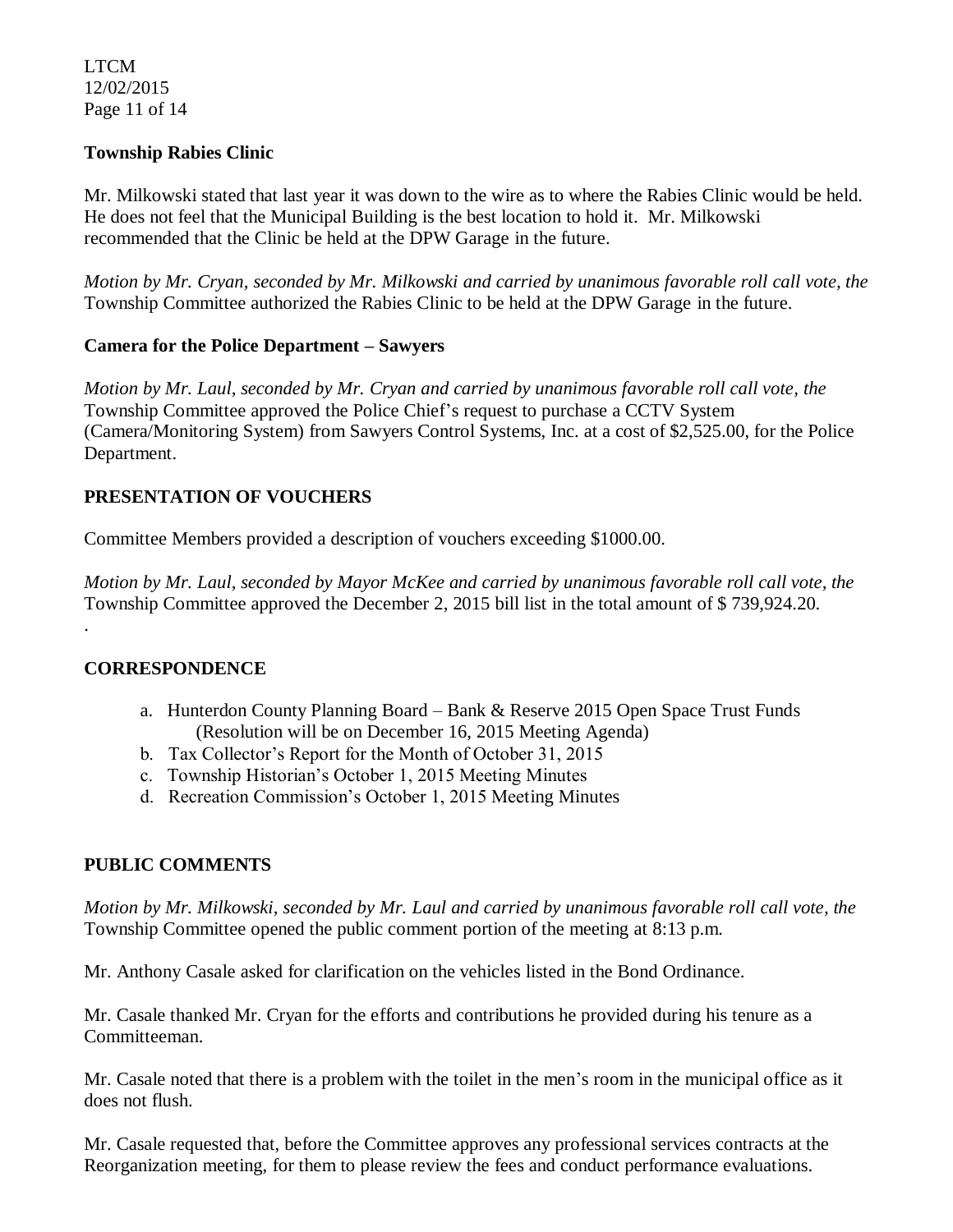LTCM 12/02/2015 Page 11 of 14

# **Township Rabies Clinic**

Mr. Milkowski stated that last year it was down to the wire as to where the Rabies Clinic would be held. He does not feel that the Municipal Building is the best location to hold it. Mr. Milkowski recommended that the Clinic be held at the DPW Garage in the future.

*Motion by Mr. Cryan, seconded by Mr. Milkowski and carried by unanimous favorable roll call vote, the* Township Committee authorized the Rabies Clinic to be held at the DPW Garage in the future.

# **Camera for the Police Department – Sawyers**

*Motion by Mr. Laul, seconded by Mr. Cryan and carried by unanimous favorable roll call vote, the* Township Committee approved the Police Chief's request to purchase a CCTV System (Camera/Monitoring System) from Sawyers Control Systems, Inc. at a cost of \$2,525.00, for the Police Department.

# **PRESENTATION OF VOUCHERS**

Committee Members provided a description of vouchers exceeding \$1000.00.

*Motion by Mr. Laul, seconded by Mayor McKee and carried by unanimous favorable roll call vote, the* Township Committee approved the December 2, 2015 bill list in the total amount of \$ 739,924.20.

# **CORRESPONDENCE**

.

- a. Hunterdon County Planning Board Bank & Reserve 2015 Open Space Trust Funds (Resolution will be on December 16, 2015 Meeting Agenda)
- b. Tax Collector's Report for the Month of October 31, 2015
- c. Township Historian's October 1, 2015 Meeting Minutes
- d. Recreation Commission's October 1, 2015 Meeting Minutes

# **PUBLIC COMMENTS**

*Motion by Mr. Milkowski, seconded by Mr. Laul and carried by unanimous favorable roll call vote, the* Township Committee opened the public comment portion of the meeting at 8:13 p.m.

Mr. Anthony Casale asked for clarification on the vehicles listed in the Bond Ordinance.

Mr. Casale thanked Mr. Cryan for the efforts and contributions he provided during his tenure as a Committeeman.

Mr. Casale noted that there is a problem with the toilet in the men's room in the municipal office as it does not flush.

Mr. Casale requested that, before the Committee approves any professional services contracts at the Reorganization meeting, for them to please review the fees and conduct performance evaluations.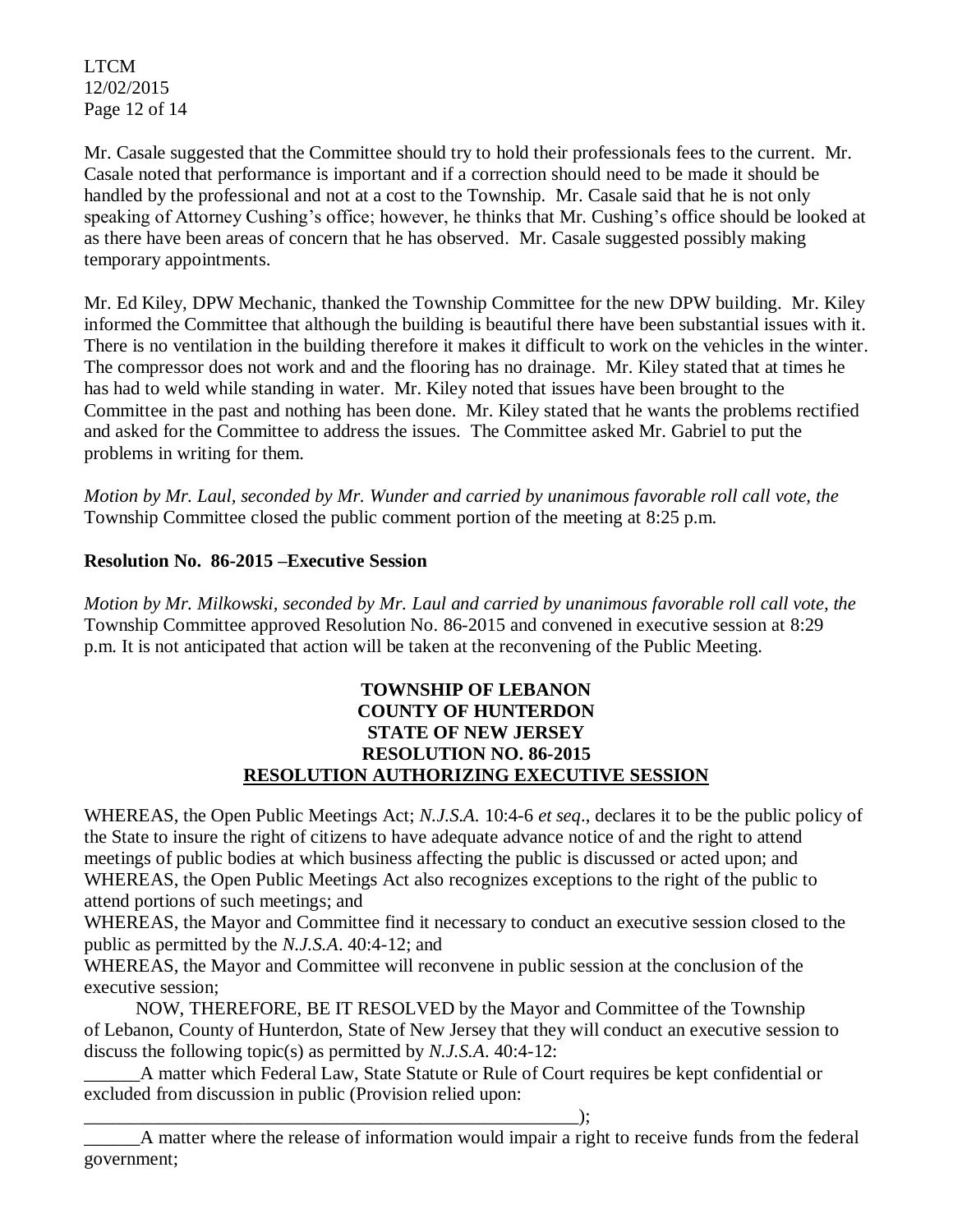LTCM 12/02/2015 Page 12 of 14

Mr. Casale suggested that the Committee should try to hold their professionals fees to the current. Mr. Casale noted that performance is important and if a correction should need to be made it should be handled by the professional and not at a cost to the Township. Mr. Casale said that he is not only speaking of Attorney Cushing's office; however, he thinks that Mr. Cushing's office should be looked at as there have been areas of concern that he has observed. Mr. Casale suggested possibly making temporary appointments.

Mr. Ed Kiley, DPW Mechanic, thanked the Township Committee for the new DPW building. Mr. Kiley informed the Committee that although the building is beautiful there have been substantial issues with it. There is no ventilation in the building therefore it makes it difficult to work on the vehicles in the winter. The compressor does not work and and the flooring has no drainage. Mr. Kiley stated that at times he has had to weld while standing in water. Mr. Kiley noted that issues have been brought to the Committee in the past and nothing has been done. Mr. Kiley stated that he wants the problems rectified and asked for the Committee to address the issues. The Committee asked Mr. Gabriel to put the problems in writing for them.

*Motion by Mr. Laul, seconded by Mr. Wunder and carried by unanimous favorable roll call vote, the* Township Committee closed the public comment portion of the meeting at 8:25 p.m.

# **Resolution No. 86-2015 –Executive Session**

*Motion by Mr. Milkowski, seconded by Mr. Laul and carried by unanimous favorable roll call vote, the* Township Committee approved Resolution No. 86-2015 and convened in executive session at 8:29 p.m. It is not anticipated that action will be taken at the reconvening of the Public Meeting.

# **TOWNSHIP OF LEBANON COUNTY OF HUNTERDON STATE OF NEW JERSEY RESOLUTION NO. 86-2015 RESOLUTION AUTHORIZING EXECUTIVE SESSION**

WHEREAS, the Open Public Meetings Act; *N.J.S.A.* 10:4-6 *et seq*., declares it to be the public policy of the State to insure the right of citizens to have adequate advance notice of and the right to attend meetings of public bodies at which business affecting the public is discussed or acted upon; and WHEREAS, the Open Public Meetings Act also recognizes exceptions to the right of the public to attend portions of such meetings; and

WHEREAS, the Mayor and Committee find it necessary to conduct an executive session closed to the public as permitted by the *N.J.S.A*. 40:4-12; and

WHEREAS, the Mayor and Committee will reconvene in public session at the conclusion of the executive session;

 NOW, THEREFORE, BE IT RESOLVED by the Mayor and Committee of the Township of Lebanon, County of Hunterdon, State of New Jersey that they will conduct an executive session to discuss the following topic(s) as permitted by *N.J.S.A*. 40:4-12:

A matter which Federal Law, State Statute or Rule of Court requires be kept confidential or excluded from discussion in public (Provision relied upon:

\_\_\_\_\_\_\_\_\_\_\_\_\_\_\_\_\_\_\_\_\_\_\_\_\_\_\_\_\_\_\_\_\_\_\_\_\_\_\_\_\_\_\_\_\_\_\_\_\_\_\_\_\_);

\_\_\_\_\_\_A matter where the release of information would impair a right to receive funds from the federal government;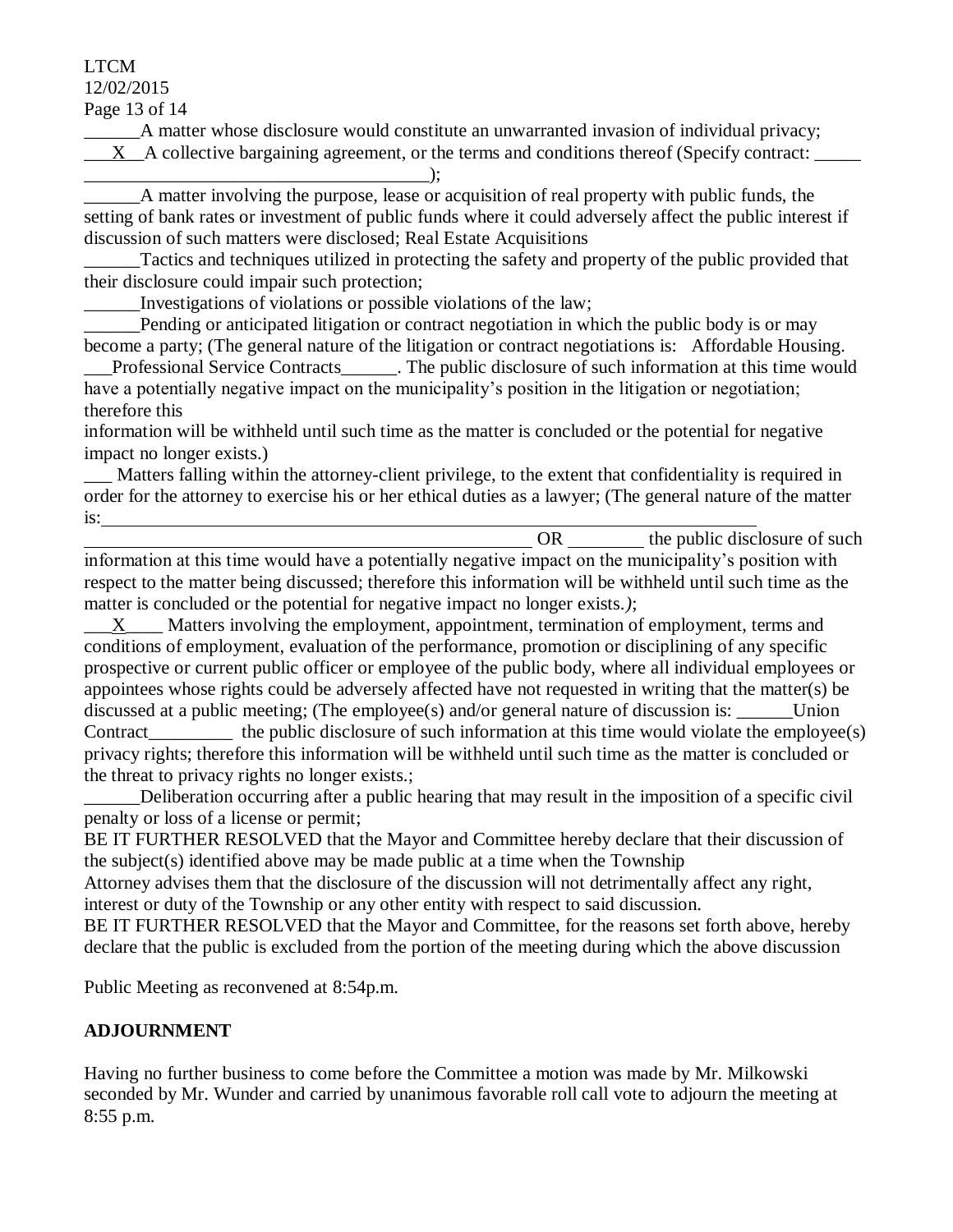# LTCM

12/02/2015

Page 13 of 14

\_\_\_\_\_\_A matter whose disclosure would constitute an unwarranted invasion of individual privacy; \_\_\_X\_\_A collective bargaining agreement, or the terms and conditions thereof (Specify contract: \_\_\_\_\_

\_\_\_\_\_\_\_\_\_\_\_\_\_\_\_\_\_\_\_\_\_\_\_\_\_\_\_\_\_\_\_\_\_\_\_\_\_); \_\_\_\_\_\_A matter involving the purpose, lease or acquisition of real property with public funds, the setting of bank rates or investment of public funds where it could adversely affect the public interest if discussion of such matters were disclosed; Real Estate Acquisitions

Tactics and techniques utilized in protecting the safety and property of the public provided that their disclosure could impair such protection;

Investigations of violations or possible violations of the law;

Pending or anticipated litigation or contract negotiation in which the public body is or may become a party; (The general nature of the litigation or contract negotiations is: Affordable Housing.

Professional Service Contracts The public disclosure of such information at this time would have a potentially negative impact on the municipality's position in the litigation or negotiation; therefore this

information will be withheld until such time as the matter is concluded or the potential for negative impact no longer exists.)

Matters falling within the attorney-client privilege, to the extent that confidentiality is required in order for the attorney to exercise his or her ethical duties as a lawyer; (The general nature of the matter is:

OR the public disclosure of such  $\sum_{n=1}^{\infty}$ information at this time would have a potentially negative impact on the municipality's position with respect to the matter being discussed; therefore this information will be withheld until such time as the matter is concluded or the potential for negative impact no longer exists.*)*;

X Matters involving the employment, appointment, termination of employment, terms and conditions of employment, evaluation of the performance, promotion or disciplining of any specific prospective or current public officer or employee of the public body, where all individual employees or appointees whose rights could be adversely affected have not requested in writing that the matter(s) be discussed at a public meeting; (The employee(s) and/or general nature of discussion is: \_\_\_\_\_\_\_ Union Contract\_\_\_\_\_\_\_\_\_\_ the public disclosure of such information at this time would violate the employee(s) privacy rights; therefore this information will be withheld until such time as the matter is concluded or the threat to privacy rights no longer exists.;

Deliberation occurring after a public hearing that may result in the imposition of a specific civil penalty or loss of a license or permit;

BE IT FURTHER RESOLVED that the Mayor and Committee hereby declare that their discussion of the subject(s) identified above may be made public at a time when the Township

Attorney advises them that the disclosure of the discussion will not detrimentally affect any right, interest or duty of the Township or any other entity with respect to said discussion.

BE IT FURTHER RESOLVED that the Mayor and Committee, for the reasons set forth above, hereby declare that the public is excluded from the portion of the meeting during which the above discussion

Public Meeting as reconvened at 8:54p.m.

# **ADJOURNMENT**

Having no further business to come before the Committee a motion was made by Mr. Milkowski seconded by Mr. Wunder and carried by unanimous favorable roll call vote to adjourn the meeting at 8:55 p.m.